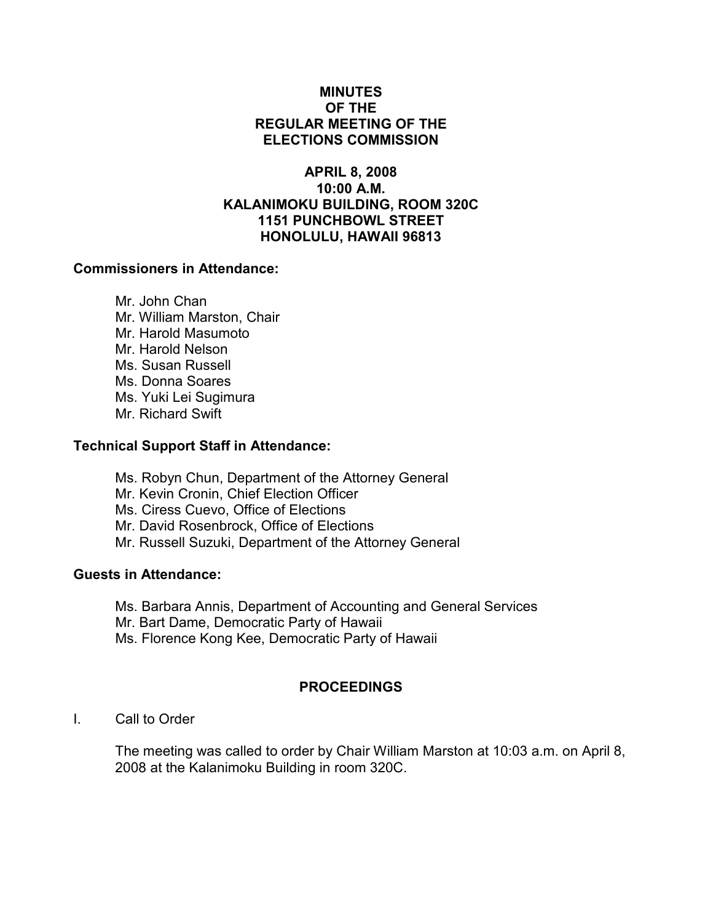# MINUTES OF THE REGULAR MEETING OF THE ELECTIONS COMMISSION

## APRIL 8, 2008 10:00 A.M. KALANIMOKU BUILDING, ROOM 320C 1151 PUNCHBOWL STREET HONOLULU, HAWAII 96813

#### Commissioners in Attendance:

 Mr. John Chan Mr. William Marston, Chair Mr. Harold Masumoto Mr. Harold Nelson Ms. Susan Russell Ms. Donna Soares Ms. Yuki Lei Sugimura Mr. Richard Swift

#### Technical Support Staff in Attendance:

Ms. Robyn Chun, Department of the Attorney General Mr. Kevin Cronin, Chief Election Officer Ms. Ciress Cuevo, Office of Elections Mr. David Rosenbrock, Office of Elections Mr. Russell Suzuki, Department of the Attorney General

# Guests in Attendance:

Ms. Barbara Annis, Department of Accounting and General Services Mr. Bart Dame, Democratic Party of Hawaii Ms. Florence Kong Kee, Democratic Party of Hawaii

# PROCEEDINGS

# I. Call to Order

The meeting was called to order by Chair William Marston at 10:03 a.m. on April 8, 2008 at the Kalanimoku Building in room 320C.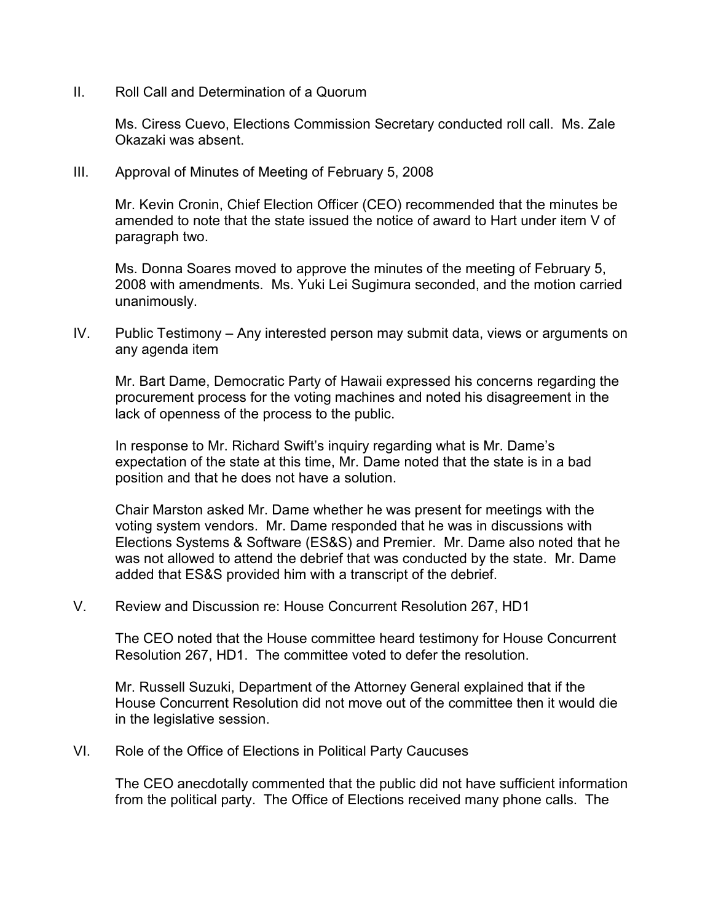II. Roll Call and Determination of a Quorum

Ms. Ciress Cuevo, Elections Commission Secretary conducted roll call. Ms. Zale Okazaki was absent.

III. Approval of Minutes of Meeting of February 5, 2008

Mr. Kevin Cronin, Chief Election Officer (CEO) recommended that the minutes be amended to note that the state issued the notice of award to Hart under item V of paragraph two.

Ms. Donna Soares moved to approve the minutes of the meeting of February 5, 2008 with amendments. Ms. Yuki Lei Sugimura seconded, and the motion carried unanimously.

IV. Public Testimony – Any interested person may submit data, views or arguments on any agenda item

Mr. Bart Dame, Democratic Party of Hawaii expressed his concerns regarding the procurement process for the voting machines and noted his disagreement in the lack of openness of the process to the public.

In response to Mr. Richard Swift's inquiry regarding what is Mr. Dame's expectation of the state at this time, Mr. Dame noted that the state is in a bad position and that he does not have a solution.

Chair Marston asked Mr. Dame whether he was present for meetings with the voting system vendors. Mr. Dame responded that he was in discussions with Elections Systems & Software (ES&S) and Premier. Mr. Dame also noted that he was not allowed to attend the debrief that was conducted by the state. Mr. Dame added that ES&S provided him with a transcript of the debrief.

V. Review and Discussion re: House Concurrent Resolution 267, HD1

The CEO noted that the House committee heard testimony for House Concurrent Resolution 267, HD1. The committee voted to defer the resolution.

Mr. Russell Suzuki, Department of the Attorney General explained that if the House Concurrent Resolution did not move out of the committee then it would die in the legislative session.

VI. Role of the Office of Elections in Political Party Caucuses

The CEO anecdotally commented that the public did not have sufficient information from the political party. The Office of Elections received many phone calls. The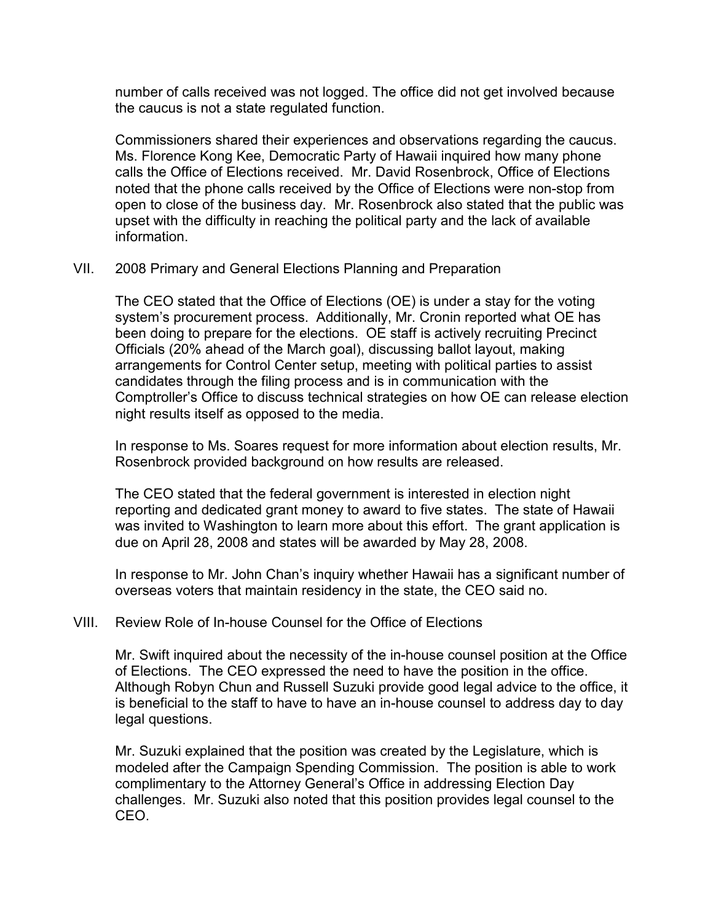number of calls received was not logged. The office did not get involved because the caucus is not a state regulated function.

Commissioners shared their experiences and observations regarding the caucus. Ms. Florence Kong Kee, Democratic Party of Hawaii inquired how many phone calls the Office of Elections received. Mr. David Rosenbrock, Office of Elections noted that the phone calls received by the Office of Elections were non-stop from open to close of the business day. Mr. Rosenbrock also stated that the public was upset with the difficulty in reaching the political party and the lack of available information.

VII. 2008 Primary and General Elections Planning and Preparation

The CEO stated that the Office of Elections (OE) is under a stay for the voting system's procurement process. Additionally, Mr. Cronin reported what OE has been doing to prepare for the elections. OE staff is actively recruiting Precinct Officials (20% ahead of the March goal), discussing ballot layout, making arrangements for Control Center setup, meeting with political parties to assist candidates through the filing process and is in communication with the Comptroller's Office to discuss technical strategies on how OE can release election night results itself as opposed to the media.

In response to Ms. Soares request for more information about election results, Mr. Rosenbrock provided background on how results are released.

The CEO stated that the federal government is interested in election night reporting and dedicated grant money to award to five states. The state of Hawaii was invited to Washington to learn more about this effort. The grant application is due on April 28, 2008 and states will be awarded by May 28, 2008.

In response to Mr. John Chan's inquiry whether Hawaii has a significant number of overseas voters that maintain residency in the state, the CEO said no.

# VIII. Review Role of In-house Counsel for the Office of Elections

Mr. Swift inquired about the necessity of the in-house counsel position at the Office of Elections. The CEO expressed the need to have the position in the office. Although Robyn Chun and Russell Suzuki provide good legal advice to the office, it is beneficial to the staff to have to have an in-house counsel to address day to day legal questions.

Mr. Suzuki explained that the position was created by the Legislature, which is modeled after the Campaign Spending Commission. The position is able to work complimentary to the Attorney General's Office in addressing Election Day challenges. Mr. Suzuki also noted that this position provides legal counsel to the CEO.